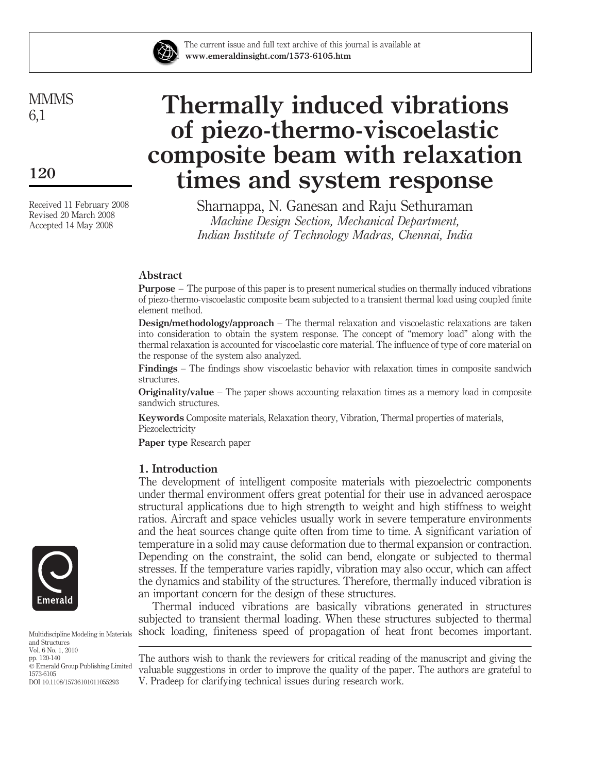

The current issue and full text archive of this journal is available at www.emeraldinsight.com/1573-6105.htm

**MMMS** 6,1

120

Received 11 February 2008 Revised 20 March 2008 Accepted 14 May 2008

# Thermally induced vibrations of piezo-thermo-viscoelastic composite beam with relaxation times and system response

Sharnappa, N. Ganesan and Raju Sethuraman Machine Design Section, Mechanical Department, Indian Institute of Technology Madras, Chennai, India

# Abstract

Purpose – The purpose of this paper is to present numerical studies on thermally induced vibrations of piezo-thermo-viscoelastic composite beam subjected to a transient thermal load using coupled finite element method.

Design/methodology/approach – The thermal relaxation and viscoelastic relaxations are taken into consideration to obtain the system response. The concept of "memory load" along with the thermal relaxation is accounted for viscoelastic core material. The influence of type of core material on the response of the system also analyzed.

Findings – The findings show viscoelastic behavior with relaxation times in composite sandwich structures.

Originality/value – The paper shows accounting relaxation times as a memory load in composite sandwich structures.

Keywords Composite materials, Relaxation theory, Vibration, Thermal properties of materials, Piezoelectricity

Paper type Research paper

# 1. Introduction

The development of intelligent composite materials with piezoelectric components under thermal environment offers great potential for their use in advanced aerospace structural applications due to high strength to weight and high stiffness to weight ratios. Aircraft and space vehicles usually work in severe temperature environments and the heat sources change quite often from time to time. A significant variation of temperature in a solid may cause deformation due to thermal expansion or contraction. Depending on the constraint, the solid can bend, elongate or subjected to thermal stresses. If the temperature varies rapidly, vibration may also occur, which can affect the dynamics and stability of the structures. Therefore, thermally induced vibration is an important concern for the design of these structures.

Thermal induced vibrations are basically vibrations generated in structures subjected to transient thermal loading. When these structures subjected to thermal shock loading, finiteness speed of propagation of heat front becomes important.

The authors wish to thank the reviewers for critical reading of the manuscript and giving the valuable suggestions in order to improve the quality of the paper. The authors are grateful to V. Pradeep for clarifying technical issues during research work.



Multidiscipline Modeling in Materials and Structures Vol. 6 No. 1, 2010 pp. 120-140  $\degree$  Emerald Group Publishing Limited 1573-6105 DOI 10.1108/15736101011055293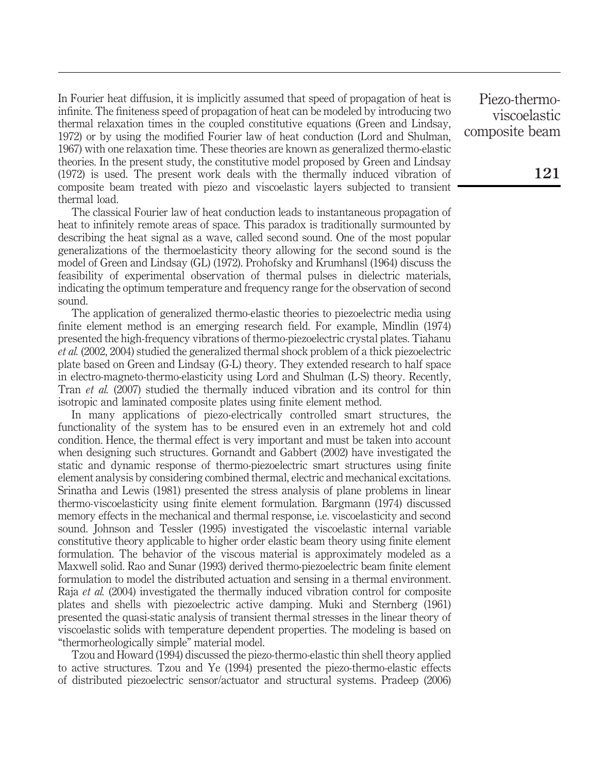In Fourier heat diffusion, it is implicitly assumed that speed of propagation of heat is infinite. The finiteness speed of propagation of heat can be modeled by introducing two thermal relaxation times in the coupled constitutive equations (Green and Lindsay, 1972) or by using the modified Fourier law of heat conduction (Lord and Shulman, 1967) with one relaxation time. These theories are known as generalized thermo-elastic theories. In the present study, the constitutive model proposed by Green and Lindsay (1972) is used. The present work deals with the thermally induced vibration of composite beam treated with piezo and viscoelastic layers subjected to transient thermal load.

The classical Fourier law of heat conduction leads to instantaneous propagation of heat to infinitely remote areas of space. This paradox is traditionally surmounted by describing the heat signal as a wave, called second sound. One of the most popular generalizations of the thermoelasticity theory allowing for the second sound is the model of Green and Lindsay (GL) (1972). Prohofsky and Krumhansl (1964) discuss the feasibility of experimental observation of thermal pulses in dielectric materials, indicating the optimum temperature and frequency range for the observation of second sound.

The application of generalized thermo-elastic theories to piezoelectric media using finite element method is an emerging research field. For example, Mindlin (1974) presented the high-frequency vibrations of thermo-piezoelectric crystal plates. Tiahanu et al. (2002, 2004) studied the generalized thermal shock problem of a thick piezoelectric plate based on Green and Lindsay (G-L) theory. They extended research to half space in electro-magneto-thermo-elasticity using Lord and Shulman (L-S) theory. Recently, Tran et al. (2007) studied the thermally induced vibration and its control for thin isotropic and laminated composite plates using finite element method.

In many applications of piezo-electrically controlled smart structures, the functionality of the system has to be ensured even in an extremely hot and cold condition. Hence, the thermal effect is very important and must be taken into account when designing such structures. Gornandt and Gabbert (2002) have investigated the static and dynamic response of thermo-piezoelectric smart structures using finite element analysis by considering combined thermal, electric and mechanical excitations. Srinatha and Lewis (1981) presented the stress analysis of plane problems in linear thermo-viscoelasticity using finite element formulation. Bargmann (1974) discussed memory effects in the mechanical and thermal response, i.e. viscoelasticity and second sound. Johnson and Tessler (1995) investigated the viscoelastic internal variable constitutive theory applicable to higher order elastic beam theory using finite element formulation. The behavior of the viscous material is approximately modeled as a Maxwell solid. Rao and Sunar (1993) derived thermo-piezoelectric beam finite element formulation to model the distributed actuation and sensing in a thermal environment. Raja et al. (2004) investigated the thermally induced vibration control for composite plates and shells with piezoelectric active damping. Muki and Sternberg (1961) presented the quasi-static analysis of transient thermal stresses in the linear theory of viscoelastic solids with temperature dependent properties. The modeling is based on "thermorheologically simple" material model.

Tzou and Howard (1994) discussed the piezo-thermo-elastic thin shell theory applied to active structures. Tzou and Ye (1994) presented the piezo-thermo-elastic effects of distributed piezoelectric sensor/actuator and structural systems. Pradeep (2006)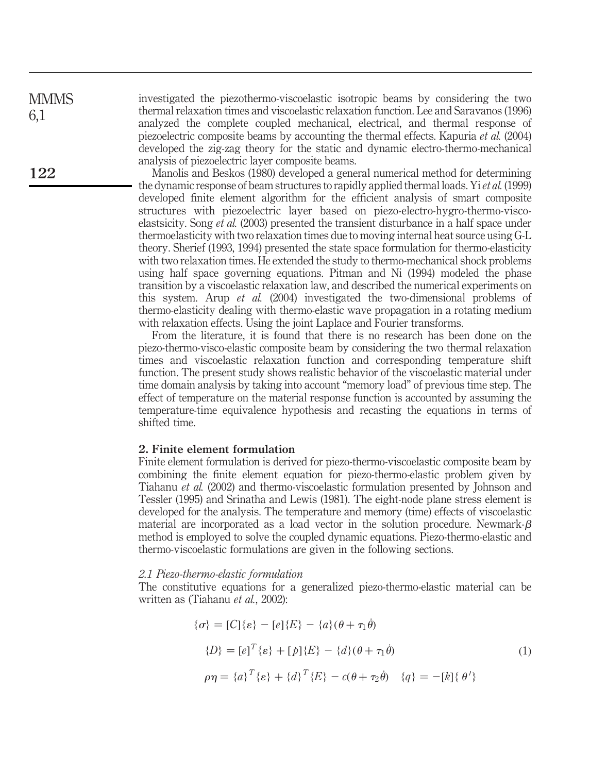investigated the piezothermo-viscoelastic isotropic beams by considering the two thermal relaxation times and viscoelastic relaxation function. Lee and Saravanos (1996) analyzed the complete coupled mechanical, electrical, and thermal response of piezoelectric composite beams by accounting the thermal effects. Kapuria et al. (2004) developed the zig-zag theory for the static and dynamic electro-thermo-mechanical analysis of piezoelectric layer composite beams.

Manolis and Beskos (1980) developed a general numerical method for determining the dynamic response of beam structures to rapidly applied thermal loads. Yi et al. (1999) developed finite element algorithm for the efficient analysis of smart composite structures with piezoelectric layer based on piezo-electro-hygro-thermo-viscoelastsicity. Song et al. (2003) presented the transient disturbance in a half space under thermoelasticity with two relaxation times due to moving internal heat source using G-L theory. Sherief (1993, 1994) presented the state space formulation for thermo-elasticity with two relaxation times. He extended the study to thermo-mechanical shock problems using half space governing equations. Pitman and Ni (1994) modeled the phase transition by a viscoelastic relaxation law, and described the numerical experiments on this system. Arup et al. (2004) investigated the two-dimensional problems of thermo-elasticity dealing with thermo-elastic wave propagation in a rotating medium with relaxation effects. Using the joint Laplace and Fourier transforms.

From the literature, it is found that there is no research has been done on the piezo-thermo-visco-elastic composite beam by considering the two thermal relaxation times and viscoelastic relaxation function and corresponding temperature shift function. The present study shows realistic behavior of the viscoelastic material under time domain analysis by taking into account "memory load" of previous time step. The effect of temperature on the material response function is accounted by assuming the temperature-time equivalence hypothesis and recasting the equations in terms of shifted time.

#### 2. Finite element formulation

Finite element formulation is derived for piezo-thermo-viscoelastic composite beam by combining the finite element equation for piezo-thermo-elastic problem given by Tiahanu et al. (2002) and thermo-viscoelastic formulation presented by Johnson and Tessler (1995) and Srinatha and Lewis (1981). The eight-node plane stress element is developed for the analysis. The temperature and memory (time) effects of viscoelastic material are incorporated as a load vector in the solution procedure. Newmark- $\beta$ method is employed to solve the coupled dynamic equations. Piezo-thermo-elastic and thermo-viscoelastic formulations are given in the following sections.

#### 2.1 Piezo-thermo-elastic formulation

The constitutive equations for a generalized piezo-thermo-elastic material can be written as (Tiahanu *et al.*, 2002):

$$
\{\sigma\} = [C] \{\varepsilon\} - [e] \{E\} - \{a\} (\theta + \tau_1 \dot{\theta})
$$
  

$$
\{D\} = [e]^T \{\varepsilon\} + [p] \{E\} - \{d\} (\theta + \tau_1 \dot{\theta})
$$
  

$$
\rho \eta = \{a\}^T \{\varepsilon\} + \{d\}^T \{E\} - c(\theta + \tau_2 \dot{\theta}) \quad \{q\} = -[k] \{\theta'\}
$$
 (1)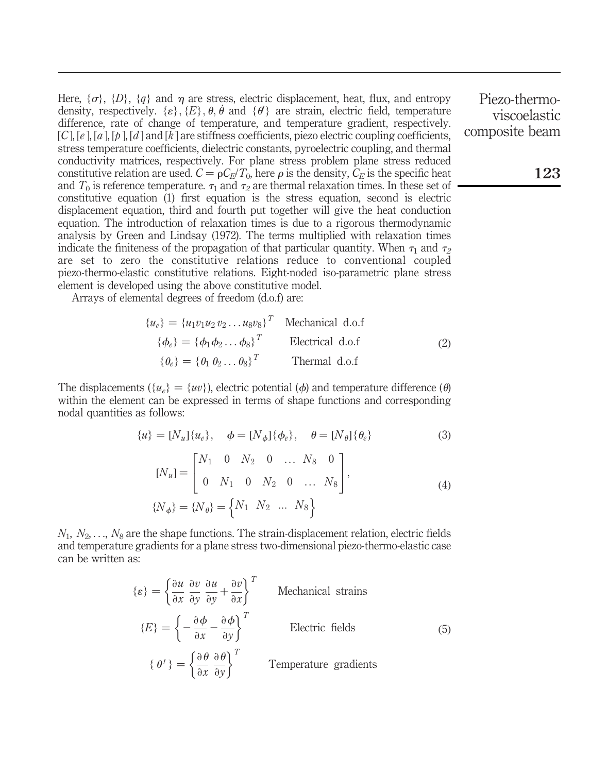Here,  $\{\sigma\}$ ,  $\{D\}$ ,  $\{q\}$  and  $\eta$  are stress, electric displacement, heat, flux, and entropy density, respectively.  $\{e\}$ ,  $\{E\}$ ,  $\theta$ ,  $\dot{\theta}$  and  $\{\theta'\}$  are strain, electric field, temperature difference, rate of change of temperature, and temperature gradient, respectively.  $[C]$ ,  $[e]$ ,  $[a]$ ,  $[b]$ ,  $[d]$  and  $[k]$  are stiffness coefficients, piezo electric coupling coefficients, stress temperature coefficients, dielectric constants, pyroelectric coupling, and thermal conductivity matrices, respectively. For plane stress problem plane stress reduced constitutive relation are used.  $C = \rho C_E/T_0$ , here  $\rho$  is the density,  $C_E$  is the specific heat and  $T_0$  is reference temperature.  $\tau_1$  and  $\tau_2$  are thermal relaxation times. In these set of constitutive equation (1) first equation is the stress equation, second is electric displacement equation, third and fourth put together will give the heat conduction equation. The introduction of relaxation times is due to a rigorous thermodynamic analysis by Green and Lindsay (1972). The terms multiplied with relaxation times indicate the finiteness of the propagation of that particular quantity. When  $\tau_1$  and  $\tau_2$ are set to zero the constitutive relations reduce to conventional coupled piezo-thermo-elastic constitutive relations. Eight-noded iso-parametric plane stress element is developed using the above constitutive model.

Arrays of elemental degrees of freedom (d.o.f) are:

$$
\{u_e\} = \{u_1v_1u_2v_2\ldots u_8v_8\}^T
$$
 Mechanical d.o.f  

$$
\{\phi_e\} = \{\phi_1\phi_2\ldots\phi_8\}^T
$$
 Electrical d.o.f  

$$
\{\theta_e\} = \{\theta_1\theta_2\ldots\theta_8\}^T
$$
 Thermal d.o.f (2)

The displacements  $({u<sub>e</sub>} = {uv}$ , electric potential ( $\phi$ ) and temperature difference ( $\theta$ ) within the element can be expressed in terms of shape functions and corresponding nodal quantities as follows:

$$
\{u\} = [N_u]\{u_e\}, \quad \phi = [N_\phi]\{\phi_e\}, \quad \theta = [N_\theta]\{\theta_e\}
$$
 (3)

$$
[N_u] = \begin{bmatrix} N_1 & 0 & N_2 & 0 & \dots & N_8 & 0 \\ 0 & N_1 & 0 & N_2 & 0 & \dots & N_8 \\ N_\phi \end{bmatrix},
$$
  
\n
$$
\{N_\phi\} = \{N_\theta\} = \begin{Bmatrix} N_1 & N_2 & \dots & N_8 \end{Bmatrix}
$$
 (4)

 $N_1, N_2, \ldots, N_8$  are the shape functions. The strain-displacement relation, electric fields and temperature gradients for a plane stress two-dimensional piezo-thermo-elastic case can be written as:

$$
\{\varepsilon\} = \left\{ \frac{\partial u}{\partial x} \frac{\partial v}{\partial y} \frac{\partial u}{\partial y} + \frac{\partial v}{\partial x} \right\}^T
$$
 Mechanical strains  

$$
\{E\} = \left\{ -\frac{\partial \phi}{\partial x} - \frac{\partial \phi}{\partial y} \right\}^T
$$
Electric fields  

$$
\{\theta'\} = \left\{ \frac{\partial \theta}{\partial x} \frac{\partial \theta}{\partial y} \right\}^T
$$
 Temperature gradients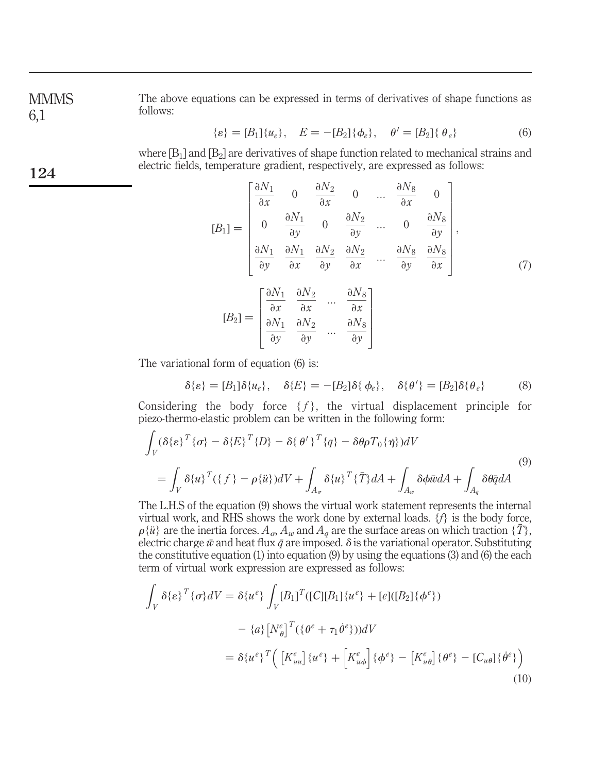The above equations can be expressed in terms of derivatives of shape functions as follows:

$$
\{\varepsilon\} = [B_1]\{u_e\}, \quad E = -[B_2]\{\phi_e\}, \quad \theta' = [B_2]\{\theta_e\} \tag{6}
$$

where  $[B_1]$  and  $[B_2]$  are derivatives of shape function related to mechanical strains and electric fields, temperature gradient, respectively, are expressed as follows:

124

**MMMS** 6,1

$$
[B_1] = \begin{bmatrix} \frac{\partial N_1}{\partial x} & 0 & \frac{\partial N_2}{\partial x} & 0 & \dots & \frac{\partial N_8}{\partial x} & 0\\ 0 & \frac{\partial N_1}{\partial y} & 0 & \frac{\partial N_2}{\partial y} & \dots & 0 & \frac{\partial N_8}{\partial y} \\ \frac{\partial N_1}{\partial y} & \frac{\partial N_1}{\partial x} & \frac{\partial N_2}{\partial y} & \frac{\partial N_2}{\partial x} & \dots & \frac{\partial N_8}{\partial y} & \frac{\partial N_8}{\partial x} \\ 0 & \frac{\partial N_1}{\partial x} & \frac{\partial N_2}{\partial x} & \dots & \frac{\partial N_8}{\partial x} & \frac{\partial N_8}{\partial x} \\ \frac{\partial N_1}{\partial y} & \frac{\partial N_2}{\partial y} & \dots & \frac{\partial N_8}{\partial y} \end{bmatrix},
$$
(7)

The variational form of equation (6) is:

$$
\delta\{\varepsilon\} = [B_1]\delta\{u_{\varepsilon}\}, \quad \delta\{E\} = -[B_2]\delta\{\phi_{\varepsilon}\}, \quad \delta\{\theta'\} = [B_2]\delta\{\theta_{\varepsilon}\}\tag{8}
$$

Considering the body force  $\{f\}$ , the virtual displacement principle for piezo-thermo-elastic problem can be written in the following form:

$$
\int_{V} (\delta \{\varepsilon\}^{T} {\{\sigma\} - \delta \{E\}^{T} {D} - \delta \{\theta'\}^{T} {q} - \delta \theta \rho T_{0} {\{\eta\}}) dV
$$
\n
$$
= \int_{V} \delta \{u\}^{T} ({\{f\} - \rho \{\ddot{u}\})} dV + \int_{A_{\sigma}} \delta \{u\}^{T} {\{\overline{T}\} dA + \int_{A_{w}} \delta \phi \bar{w} dA + \int_{A_{q}} \delta \theta \bar{q} dA
$$
\n(9)

The L.H.S of the equation (9) shows the virtual work statement represents the internal virtual work, and RHS shows the work done by external loads.  $\{f\}$  is the body force,  $\rho{\hat{u}}$  are the inertia forces.  $A_{\sigma}$ ,  $A_w$  and  $A_q$  are the surface areas on which traction  $\{\bar{T}\},$ electric charge  $\bar{w}$  and heat flux  $\bar{q}$  are imposed.  $\delta$  is the variational operator. Substituting the constitutive equation (1) into equation (9) by using the equations (3) and (6) the each term of virtual work expression are expressed as follows:

$$
\int_{V} \delta\{\varepsilon\}^{T} \{\sigma\} dV = \delta\{u^{e}\} \int_{V} [B_{1}]^{T} ([C][B_{1}]\{u^{e}\} + [\varepsilon]([B_{2}]\{\phi^{e}\})
$$

$$
- \{a\} [N_{\theta}^{e}]^{T} (\{\theta^{e} + \tau_{1}\dot{\theta}^{e}\}) )dV
$$

$$
= \delta\{u^{e}\}^{T} \Big( [K_{uu}^{e}] \{u^{e}\} + [K_{u\phi}^{e}] \{\phi^{e}\} - [K_{u\theta}^{e}] \{\theta^{e}\} - [C_{u\theta}]\{\dot{\theta}^{e}\} \Big)
$$
(10)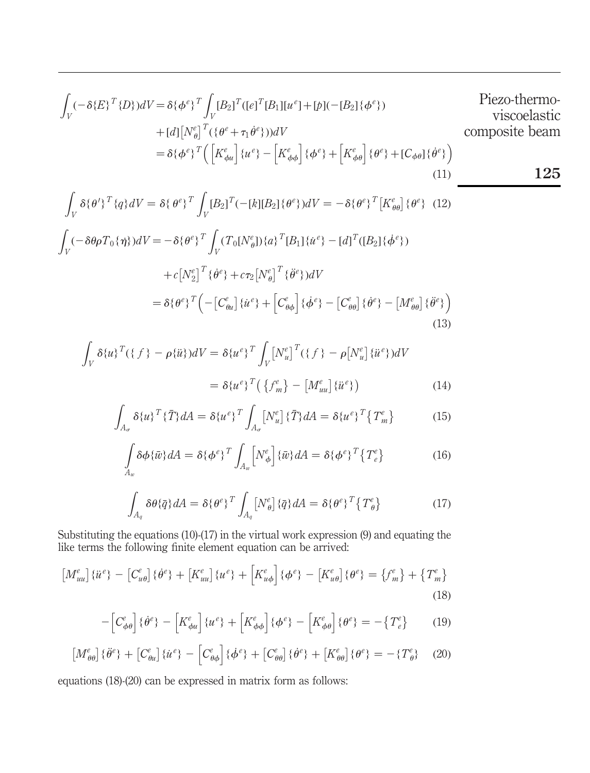$$
\int_{V} (-\delta \{E\}^{T} \{D\}) dV = \delta \{\phi^{e}\}^{T} \int_{V} [B_{2}]^{T} ([e]^{T} [B_{1}] [u^{e}] + [p] (-[B_{2}] \{\phi^{e}\})
$$
 Piezo-thermo-  
viscoelastic  
+ 
$$
[d] [N_{\theta}^{e}]^{T} (\{\theta^{e} + \tau_{1} \dot{\theta}^{e}\}) ) dV
$$
 composite beam  
= 
$$
\delta \{\phi^{e}\}^{T} (\left[K_{\phi u}^{e}\right] \{u^{e}\} - \left[K_{\phi \phi}^{e}\right] \{\phi^{e}\} + \left[K_{\phi \theta}^{e}\right] \{\theta^{e}\} + [C_{\phi \theta}] \{\dot{\theta}^{e}\}
$$
 (11) 125

$$
\int_{V} \delta\{\theta'\}^{T} \{q\} dV = \delta\{\theta^{e}\}^{T} \int_{V} [B_{2}]^{T} (-[\boldsymbol{k}][B_{2}]\{\theta^{e}\}) dV = -\delta\{\theta^{e}\}^{T} \left[K_{\theta\theta}^{e}\right] \{\theta^{e}\} \quad (12)
$$
\n
$$
\int_{V} (-\delta\theta\rho T_{0}\{\eta\}) dV = -\delta\{\theta^{e}\}^{T} \int_{V} (T_{0}[N_{\theta}^{e}]) \{a\}^{T} [B_{1}] \{i\epsilon'\} - [d]^{T} ([B_{2}]\{\phi^{e}\})
$$
\n
$$
+ c \left[N_{2}^{e}\right]^{T} \{\dot{\theta}^{e}\} + c\tau_{2} \left[N_{\theta}^{e}\right]^{T} \{\ddot{\theta}^{e}\} dV
$$
\n
$$
= \delta\{\theta^{e}\}^{T} \left(-\left[C_{\theta u}^{e}\right] \{\dot{u}^{e}\} + \left[C_{\theta\phi}^{e}\right] \{\dot{\phi}^{e}\} - \left[C_{\theta\theta}^{e}\right] \{\dot{\theta}^{e}\} - [M_{\theta\theta}^{e}\right] \{\ddot{\theta}^{e}\} \right) \quad (13)
$$

$$
\int_{V} \delta\{u\}^{T}(\{f\} - \rho\{\ddot{u}\})dV = \delta\{u^{e}\}^{T} \int_{V} \left[N_{u}^{e}\right]^{T}(\{f\} - \rho\left[N_{u}^{e}\right]\{\ddot{u}^{e}\})dV
$$
\n
$$
= \delta\{u^{e}\}^{T} \left(\{f_{m}^{e}\} - \left[M_{uu}^{e}\right]\{\ddot{u}^{e}\}\right) \tag{14}
$$

$$
\int_{A_{\sigma}} \delta\{u\}^{T} \{\bar{T}\} dA = \delta\{u^{e}\}^{T} \int_{A_{\sigma}} [N_{u}^{e}] \{\bar{T}\} dA = \delta\{u^{e}\}^{T} \{T_{m}^{e}\} \tag{15}
$$

$$
\int_{A_w} \delta \phi \{\bar{w}\} dA = \delta \{\phi^e\}^T \int_{A_w} \left[N^e_{\phi}\right] \{\bar{w}\} dA = \delta \{\phi^e\}^T \{T^e_{e}\}
$$
\n(16)

$$
\int_{A_q} \delta\theta \{\bar{q}\} dA = \delta \{\theta^e\}^T \int_{A_q} [N^e_{\theta}] \{\bar{q}\} dA = \delta \{\theta^e\}^T \{T^e_{\theta}\}
$$
 (17)

Substituting the equations (10)-(17) in the virtual work expression (9) and equating the like terms the following finite element equation can be arrived:

$$
[M_{uu}^e]\{\ddot{u}^e\} - [C_{u\theta}^e]\{\dot{\theta}^e\} + [K_{uu}^e]\{u^e\} + [K_{u\phi}^e]\{\phi^e\} - [K_{u\theta}^e]\{\theta^e\} = \{f_m^e\} + \{T_m^e\}
$$
\n(18)

$$
-\left[C^{e}_{\phi\theta}\right]\left\{\dot{\theta}^{e}\right\} - \left[K^{e}_{\phi u}\right]\left\{u^{e}\right\} + \left[K^{e}_{\phi\phi}\right]\left\{\phi^{e}\right\} - \left[K^{e}_{\phi\theta}\right]\left\{\theta^{e}\right\} = -\left\{T^{e}_{e}\right\} \tag{19}
$$

$$
\left[M^{e}_{\theta\theta}\right]\left\{\ddot{\theta}^{e}\right\}+\left[C^{e}_{\theta u}\right]\left\{\dot{u}^{e}\right\}-\left[C^{e}_{\theta\phi}\right]\left\{\dot{\phi}^{e}\right\}+\left[C^{e}_{\theta\theta}\right]\left\{\dot{\theta}^{e}\right\}+\left[K^{e}_{\theta\theta}\right]\left\{\theta^{e}\right\}=-\left\{T^{e}_{\theta}\right\}\tag{20}
$$

equations (18)-(20) can be expressed in matrix form as follows: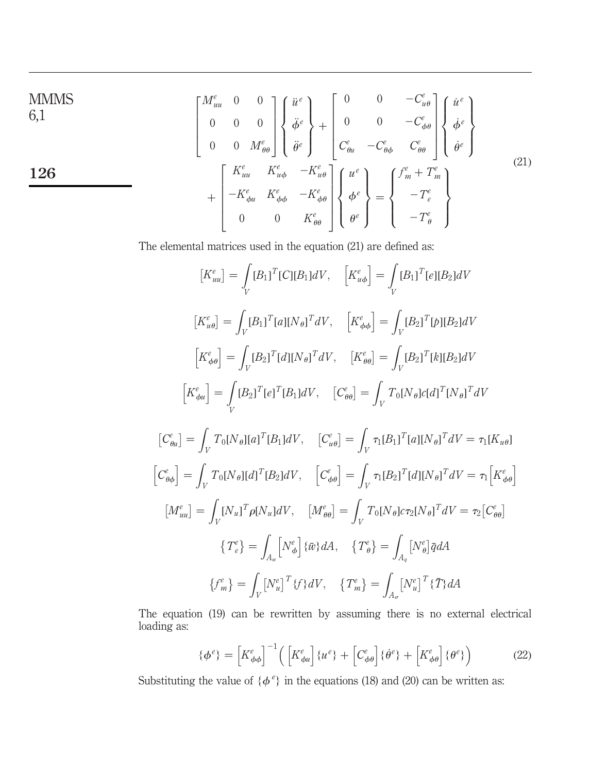MIMMS  
\n6,1  
\n
$$
\begin{bmatrix}\nM_{uu}^e & 0 & 0 \\
0 & 0 & 0 \\
0 & 0 & M_{\theta\theta}^e\n\end{bmatrix}\n\begin{bmatrix}\n\ddot{u}^e \\
\ddot{\phi}^e \\
\ddot{\theta}^e\n\end{bmatrix} + \begin{bmatrix}\n0 & 0 & -C_{u\theta}^e \\
0 & 0 & -C_{\phi\theta}^e \\
C_{\theta u}^e & -C_{\theta\phi}^e & C_{\theta\theta}^e\n\end{bmatrix}\n\begin{bmatrix}\n\dot{u}^e \\
\dot{\phi}^e\n\end{bmatrix}
$$
\n126  
\n
$$
+ \begin{bmatrix}\nK_{uu}^e & K_{u\phi}^e & -K_{u\theta}^e \\
-K_{\phi u}^e & K_{\phi\phi}^e & -K_{\phi\theta}^e \\
0 & 0 & K_{\theta\theta}^e\n\end{bmatrix}\n\begin{bmatrix}\nu^e \\
\phi^e \\
\phi^e\n\end{bmatrix} = \begin{Bmatrix}\nJ_{m}^e + T_{m}^e \\
-T_{\theta}^e \\
-T_{\theta}^e\n\end{Bmatrix}
$$
\n(21)

The elemental matrices used in the equation (21) are defined as:

$$
[K_{uu}^e] = \int_V [B_1]^T [C][B_1]dV, \quad [K_{u\phi}^e] = \int_V [B_1]^T [e][B_2]dV
$$
  
\n
$$
[K_{u\theta}^e] = \int_V [B_1]^T [a][N_{\theta}]^T dV, \quad [K_{\phi\phi}^e] = \int_V [B_2]^T [b][B_2]dV
$$
  
\n
$$
[K_{\phi\theta}^e] = \int_V [B_2]^T [d][N_{\theta}]^T dV, \quad [K_{\theta\theta}^e] = \int_V [B_2]^T [k][B_2]dV
$$
  
\n
$$
[K_{\phi u}^e] = \int_V [B_2]^T [e]^T [B_1]dV, \quad [C_{\theta\theta}^e] = \int_V T_0 [N_{\theta}]c[d]^T [N_{\theta}]^T dV
$$
  
\n
$$
[C_{\theta u}^e] = \int_V T_0 [N_{\theta}][a]^T [B_1]dV, \quad [C_{u\theta}^e] = \int_V \tau_1 [B_1]^T [a][N_{\theta}]^T dV = \tau_1 [K_{u\theta}]
$$
  
\n
$$
[C_{\theta\phi}^e] = \int_V T_0 [N_{\theta}][d]^T [B_2]dV, \quad [C_{\phi\theta}^e] = \int_V \tau_1 [B_2]^T [d][N_{\theta}]^T dV = \tau_1 [K_{\phi\theta}^e]
$$
  
\n
$$
[M_{uu}^e] = \int_V [N_{u}]^T \rho [N_{u}]dV, \quad [M_{\theta\theta}^e] = \int_V T_0 [N_{\theta}]c\tau_2 [N_{\theta}]^T dV = \tau_2 [C_{\theta\theta}^e]
$$
  
\n
$$
\{T_{e}^e\} = \int_{A_{u}} [N_{\phi}^e] \{ \tilde{w} \} dA, \quad \{T_{\theta}^e\} = \int_{A_{\theta}} [N_{\theta}^e] \tilde{q} dA
$$
  
\n
$$
\{f_{m}^e\} = \int_V [N_{u}^e]^T \{ f \} dV, \quad \{T_{m}^e\} = \int_{A_{\theta}} [N_{u}^e]^T \{ \
$$

The equation (19) can be rewritten by assuming there is no external electrical loading as:

$$
\{\phi^e\} = \left[K^e_{\phi\phi}\right]^{-1} \left(\left[K^e_{\phi u}\right] \{u^e\} + \left[C^e_{\phi\theta}\right] \{\dot{\theta}^e\} + \left[K^e_{\phi\theta}\right] \{\theta^e\}\right) \tag{22}
$$

Substituting the value of  $\{\phi^e\}$  in the equations (18) and (20) can be written as: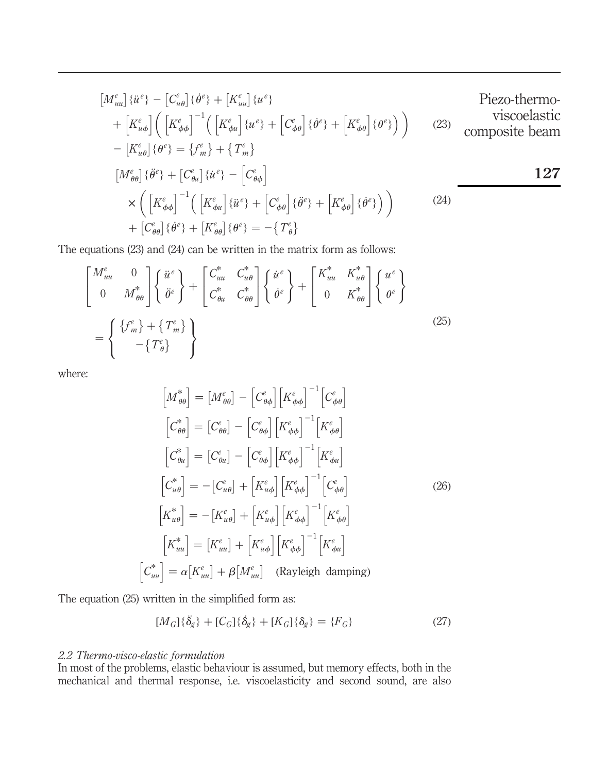$$
[M_{uu}^e \{i\mathbf{i}^e\} - [C_{u\theta}^e] \{\dot{\theta}^e\} + [K_{uu}^e] \{u^e\}
$$
 Piezo-thermo-  
+ 
$$
[K_{u\phi}^e] \left( [K_{\phi\phi}^e]^{-1} \left( [K_{\phi u}^e] \{u^e\} + [C_{\phi\theta}^e] \{\dot{\theta}^e\} + [K_{\phi\theta}^e] \{\theta^e\} \right) \right)
$$
 viscoelastic  
- 
$$
[K_{u\theta}^e] \{\theta^e\} = \{f_m^e\} + \{T_m^e\}
$$
  

$$
[M_{\theta\theta}^e] \{\ddot{\theta}^e\} + [C_{\theta u}^e] \{\dot{u}^e\} - [C_{\theta\phi}^e]
$$
  

$$
\times \left( [K_{\phi\phi}^e]^{-1} \left( [K_{\phi u}^e] \{i\mathbf{i}^e\} + [C_{\phi\theta}^e] \{\ddot{\theta}^e\} + [K_{\phi\theta}^e] \{\dot{\theta}^e\} \right) \right)
$$
 (24)  
+ 
$$
[C_{\theta\theta}^e] \{\dot{\theta}^e\} + [K_{\theta\theta}^e] \{\theta^e\} = -\{T_{\theta}^e\}
$$

The equations (23) and (24) can be written in the matrix form as follows:

$$
\begin{bmatrix}\nM_{uu}^e & 0 \\
0 & M_{\theta\theta}^*\n\end{bmatrix}\n\begin{Bmatrix}\n\ddot{u}^e \\
\ddot{\theta}^e\n\end{Bmatrix} +\n\begin{bmatrix}\nC_{uu}^* & C_{u\theta}^* \\
C_{\theta u}^* & C_{\theta\theta}^*\n\end{bmatrix}\n\begin{Bmatrix}\n\dot{u}^e \\
\dot{\theta}^e\n\end{Bmatrix} +\n\begin{bmatrix}\nK_{uu}^* & K_{u\theta}^* \\
0 & K_{\theta\theta}^*\n\end{bmatrix}\n\begin{Bmatrix}\nu^e \\
\theta^e\n\end{Bmatrix}
$$
\n
$$
= \begin{Bmatrix}\n\{f_m^e\} + \{T_m^e\} \\
-\{T_\theta^e\}\n\end{Bmatrix}
$$
\n(25)

where:

$$
\begin{aligned}\n\left[M_{\theta\theta}^{*}\right] &= \left[M_{\theta\theta}^{e}\right] - \left[C_{\theta\phi}^{e}\right] \left[K_{\phi\phi}^{e}\right]^{-1} \left[C_{\phi\theta}^{e}\right] \\
\left[C_{\theta\theta}^{*}\right] &= \left[C_{\theta\theta}^{e}\right] - \left[C_{\theta\phi}^{e}\right] \left[K_{\phi\phi}^{e}\right]^{-1} \left[K_{\phi\theta}^{e}\right] \\
\left[C_{\theta u}^{*}\right] &= \left[C_{\theta u}^{e}\right] - \left[C_{\theta\phi}^{e}\right] \left[K_{\phi\phi}^{e}\right]^{-1} \left[K_{\phi u}^{e}\right] \\
\left[C_{u\theta}^{*}\right] &= -\left[C_{u\theta}^{e}\right] + \left[K_{u\phi}^{e}\right] \left[K_{\phi\phi}^{e}\right]^{-1} \left[C_{\phi\theta}^{e}\right] \\
\left[K_{u\theta}^{*}\right] &= -\left[K_{u\theta}^{e}\right] + \left[K_{u\phi}^{e}\right] \left[K_{\phi\phi}^{e}\right]^{-1} \left[K_{\phi u}^{e}\right] \\
\left[K_{uu}^{*}\right] &= \left[K_{uu}^{e}\right] + \left[K_{u\phi}^{e}\right] \left[K_{\phi\phi}^{e}\right]^{-1} \left[K_{\phi u}^{e}\right] \\
\left[C_{uu}^{*}\right] &= \alpha \left[K_{uu}^{e}\right] + \beta \left[M_{uu}^{e}\right] \quad \text{(Rayleigh damping)}\n\end{aligned}
$$

The equation (25) written in the simplified form as:

$$
[M_G]\{\ddot{\delta}_g\} + [C_G]\{\dot{\delta}_g\} + [K_G]\{\delta_g\} = \{F_G\}
$$
\n(27)

# 2.2 Thermo-visco-elastic formulation

In most of the problems, elastic behaviour is assumed, but memory effects, both in the mechanical and thermal response, i.e. viscoelasticity and second sound, are also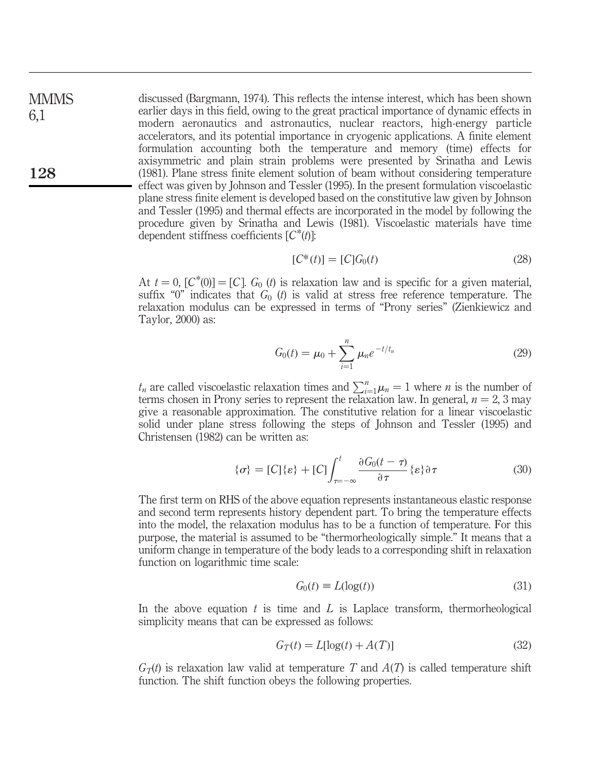discussed (Bargmann, 1974). This reflects the intense interest, which has been shown earlier days in this field, owing to the great practical importance of dynamic effects in modern aeronautics and astronautics, nuclear reactors, high-energy particle accelerators, and its potential importance in cryogenic applications. A finite element formulation accounting both the temperature and memory (time) effects for axisymmetric and plain strain problems were presented by Srinatha and Lewis (1981). Plane stress finite element solution of beam without considering temperature effect was given by Johnson and Tessler (1995). In the present formulation viscoelastic plane stress finite element is developed based on the constitutive law given by Johnson and Tessler (1995) and thermal effects are incorporated in the model by following the procedure given by Srinatha and Lewis (1981). Viscoelastic materials have time dependent stiffness coefficients  $[C^*(t)]$ :

$$
[C^*(t)] = [C]G_0(t)
$$
\n(28)

At  $t = 0$ ,  $[C^*(0)] = [C]$ .  $G_0$  (*t*) is relaxation law and is specific for a given material, suffix "0" indicates that  $G_0$  (t) is valid at stress free reference temperature. The relaxation modulus can be expressed in terms of "Prony series" (Zienkiewicz and Taylor, 2000) as:

$$
G_0(t) = \mu_0 + \sum_{i=1}^n \mu_n e^{-t/t_n}
$$
 (29)

 $t_n$  are called viscoelastic relaxation times and  $\sum_{i=1}^n \mu_n = 1$  where *n* is the number of terms chosen in Prony series to represent the relaxation law. In general,  $n = 2$ , 3 may give a reasonable approximation. The constitutive relation for a linear viscoelastic solid under plane stress following the steps of Johnson and Tessler (1995) and Christensen (1982) can be written as:

$$
\{\sigma\} = [C]\{\varepsilon\} + [C] \int_{\tau=-\infty}^{t} \frac{\partial G_0(t-\tau)}{\partial \tau} \{\varepsilon\} \partial \tau \tag{30}
$$

The first term on RHS of the above equation represents instantaneous elastic response and second term represents history dependent part. To bring the temperature effects into the model, the relaxation modulus has to be a function of temperature. For this purpose, the material is assumed to be "thermorheologically simple." It means that a uniform change in temperature of the body leads to a corresponding shift in relaxation function on logarithmic time scale:

$$
G_0(t) \equiv L(\log(t))\tag{31}
$$

In the above equation  $t$  is time and  $L$  is Laplace transform, thermorheological simplicity means that can be expressed as follows:

$$
G_T(t) = L[\log(t) + A(T)]\tag{32}
$$

 $G_T(t)$  is relaxation law valid at temperature T and  $A(T)$  is called temperature shift function. The shift function obeys the following properties.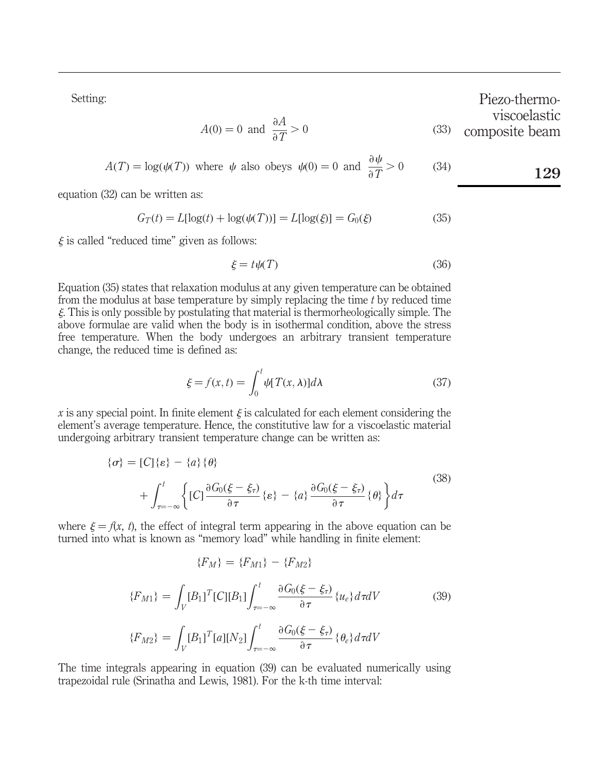Setting:

$$
A(0) = 0 \text{ and } \frac{\partial A}{\partial T} > 0
$$
   
 
$$
(33) \text{ composite beam}
$$

 $A(T) = \log(\psi(T))$  where  $\psi$  also obeys  $\psi(0) = 0$  and  $\frac{\partial \psi}{\partial T} > 0$  (34)

equation (32) can be written as:

$$
G_T(t) = L[\log(t) + \log(\psi(T))] = L[\log(\xi)] = G_0(\xi)
$$
\n(35)

 $\xi$  is called "reduced time" given as follows:

$$
\xi = t\psi(T) \tag{36}
$$

Equation (35) states that relaxation modulus at any given temperature can be obtained from the modulus at base temperature by simply replacing the time  $t$  by reduced time  $\xi$ . This is only possible by postulating that material is thermorheologically simple. The above formulae are valid when the body is in isothermal condition, above the stress free temperature. When the body undergoes an arbitrary transient temperature change, the reduced time is defined as:

$$
\xi = f(x, t) = \int_0^t \psi[T(x, \lambda)]d\lambda \tag{37}
$$

x is any special point. In finite element  $\xi$  is calculated for each element considering the element's average temperature. Hence, the constitutive law for a viscoelastic material undergoing arbitrary transient temperature change can be written as:

$$
\{\sigma\} = [C] \{\varepsilon\} - \{a\} \{\theta\} + \int_{\tau = -\infty}^{t} \left\{ [C] \frac{\partial G_0(\xi - \xi_\tau)}{\partial \tau} \{\varepsilon\} - \{a\} \frac{\partial G_0(\xi - \xi_\tau)}{\partial \tau} \{\theta\} \right\} d\tau
$$
(38)

where  $\xi = f(x, t)$ , the effect of integral term appearing in the above equation can be turned into what is known as "memory load" while handling in finite element:

$$
\{F_M\} = \{F_{M1}\} - \{F_{M2}\}\
$$

$$
\{F_{M1}\} = \int_V [B_1]^T [C][B_1] \int_{\tau = -\infty}^t \frac{\partial G_0(\xi - \xi_\tau)}{\partial \tau} \{u_\epsilon\} d\tau dV
$$
(39)
$$
\{F_{M2}\} = \int_V [B_1]^T [a][N_2] \int_{\tau = -\infty}^t \frac{\partial G_0(\xi - \xi_\tau)}{\partial \tau} \{ \theta_\epsilon\} d\tau dV
$$

The time integrals appearing in equation (39) can be evaluated numerically using trapezoidal rule (Srinatha and Lewis, 1981). For the k-th time interval:

129

Piezo-thermo-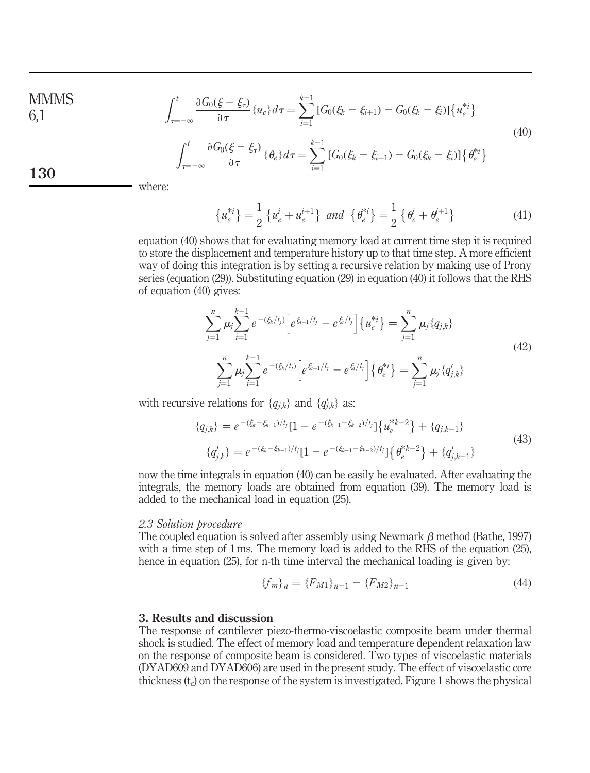$\int_0^t$  $\tau = -\infty$  $\partial G_0(\xi-\xi_\tau)$  $\frac{\xi - \zeta \tau}{\partial \tau}$  { $u_e$ }  $d\tau = \sum$  $k-1$  $i=1$  $[G_0(\xi_k - \xi_{i+1}) - G_0(\xi_k - \xi_i)]\{u_e^{*i}\}\$  $(40)$ MMMS 6,1

$$
\int_{\tau=-\infty}^{t} \frac{\partial G_{0}(\xi-\xi_{\tau})}{\partial \tau} \{\theta_{e}\} d\tau = \sum_{i=1}^{k-1} [G_{0}(\xi_{k}-\xi_{i+1}) - G_{0}(\xi_{k}-\xi_{i})] \{\theta_{e}^{*i}\}
$$

where:

130

$$
\{u_e^{*i}\} = \frac{1}{2} \{u_e^i + u_e^{i+1}\} \text{ and } \{\theta_e^{*i}\} = \frac{1}{2} \{\theta_e^i + \theta_e^{i+1}\}\
$$
 (41)

equation (40) shows that for evaluating memory load at current time step it is required to store the displacement and temperature history up to that time step. A more efficient way of doing this integration is by setting a recursive relation by making use of Prony series (equation (29)). Substituting equation (29) in equation (40) it follows that the RHS of equation (40) gives:

$$
\sum_{j=1}^{n} \mu_{j} \sum_{i=1}^{k-1} e^{-(\xi_{k}/t_{j})} \left[ e^{\xi_{i+1}/t_{j}} - e^{\xi_{i}/t_{j}} \right] \left\{ u_{e}^{*i} \right\} = \sum_{j=1}^{n} \mu_{j} \{ q_{j,k} \}
$$
\n
$$
\sum_{j=1}^{n} \mu_{j} \sum_{i=1}^{k-1} e^{-(\xi_{k}/t_{j})} \left[ e^{\xi_{i+1}/t_{j}} - e^{\xi_{i}/t_{j}} \right] \left\{ \theta_{e}^{*i} \right\} = \sum_{j=1}^{n} \mu_{j} \{ q'_{j,k} \}
$$
\n(42)

with recursive relations for  $\{q_{j,k}\}\$  and  $\{q'_{j,k}\}\$  as:

$$
\{q_{j,k}\} = e^{-(\xi_k - \xi_{k-1})/t_j} [1 - e^{-(\xi_{k-1} - \xi_{k-2})/t_j}] \{u_e^{*k-2}\} + \{q_{j,k-1}\}\
$$
  

$$
\{q'_{j,k}\} = e^{-(\xi_k - \xi_{k-1})/t_j} [1 - e^{-(\xi_{k-1} - \xi_{k-2})/t_j}] \{e_e^{*k-2}\} + \{q'_{j,k-1}\}\
$$
(43)

now the time integrals in equation (40) can be easily be evaluated. After evaluating the integrals, the memory loads are obtained from equation (39). The memory load is added to the mechanical load in equation (25).

#### 2.3 Solution procedure

The coupled equation is solved after assembly using Newmark  $\beta$  method (Bathe, 1997) with a time step of 1 ms. The memory load is added to the RHS of the equation (25), hence in equation (25), for n-th time interval the mechanical loading is given by:

$$
\{f_m\}_n = \{F_{M1}\}_{n-1} - \{F_{M2}\}_{n-1}
$$
\n(44)

#### 3. Results and discussion

The response of cantilever piezo-thermo-viscoelastic composite beam under thermal shock is studied. The effect of memory load and temperature dependent relaxation law on the response of composite beam is considered. Two types of viscoelastic materials (DYAD609 and DYAD606) are used in the present study. The effect of viscoelastic core thickness  $(t_c)$  on the response of the system is investigated. Figure 1 shows the physical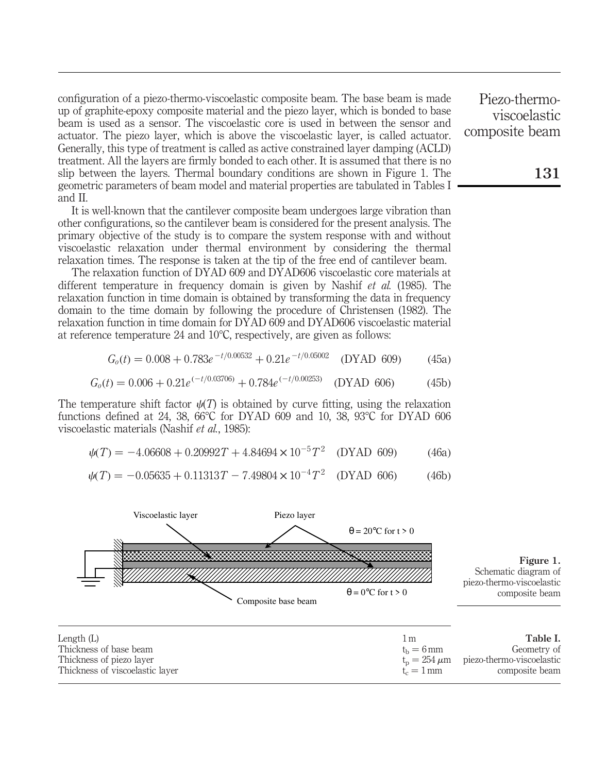configuration of a piezo-thermo-viscoelastic composite beam. The base beam is made up of graphite-epoxy composite material and the piezo layer, which is bonded to base beam is used as a sensor. The viscoelastic core is used in between the sensor and actuator. The piezo layer, which is above the viscoelastic layer, is called actuator. Generally, this type of treatment is called as active constrained layer damping (ACLD) treatment. All the layers are firmly bonded to each other. It is assumed that there is no slip between the layers. Thermal boundary conditions are shown in Figure 1. The geometric parameters of beam model and material properties are tabulated in Tables I and II.

It is well-known that the cantilever composite beam undergoes large vibration than other configurations, so the cantilever beam is considered for the present analysis. The primary objective of the study is to compare the system response with and without viscoelastic relaxation under thermal environment by considering the thermal relaxation times. The response is taken at the tip of the free end of cantilever beam.

The relaxation function of DYAD 609 and DYAD606 viscoelastic core materials at different temperature in frequency domain is given by Nashif et al. (1985). The relaxation function in time domain is obtained by transforming the data in frequency domain to the time domain by following the procedure of Christensen (1982). The relaxation function in time domain for DYAD 609 and DYAD606 viscoelastic material at reference temperature 24 and  $10^{\circ}$ C, respectively, are given as follows:

$$
G_o(t) = 0.008 + 0.783e^{-t/0.00532} + 0.21e^{-t/0.05002}
$$
 (DYAD 609) (45a)

$$
G_o(t) = 0.006 + 0.21e^{(-t/0.03706)} + 0.784e^{(-t/0.00253)} \quad \text{(DYAD 606)}\tag{45b}
$$

The temperature shift factor  $\psi(T)$  is obtained by curve fitting, using the relaxation functions defined at 24, 38, 66 $\degree$ C for DYAD 609 and 10, 38, 93 $\degree$ C for DYAD 606 viscoelastic materials (Nashif et al., 1985):

$$
\psi(T) = -4.06608 + 0.20992T + 4.84694 \times 10^{-5} T^2 \quad \text{(DYAD 609)} \tag{46a}
$$

$$
\psi(T) = -0.05635 + 0.11313T - 7.49804 \times 10^{-4} T^2 \quad \text{(DYAD 606)} \tag{46b}
$$

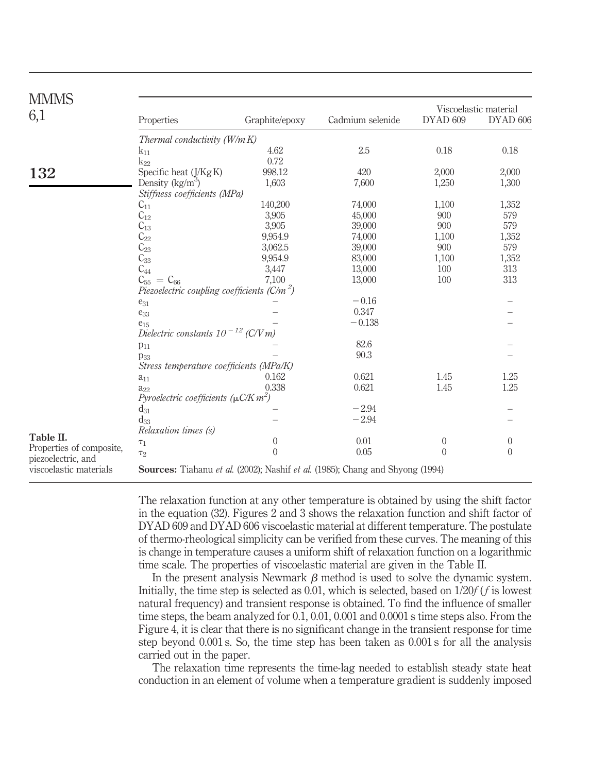| <b>MMMS</b>                                    |                                                                    |                |                                                                                      |          |                                   |  |  |  |
|------------------------------------------------|--------------------------------------------------------------------|----------------|--------------------------------------------------------------------------------------|----------|-----------------------------------|--|--|--|
| 6,1                                            | Properties                                                         | Graphite/epoxy | Cadmium selenide                                                                     | DYAD 609 | Viscoelastic material<br>DYAD 606 |  |  |  |
|                                                | Thermal conductivity (W/m K)                                       |                |                                                                                      |          |                                   |  |  |  |
|                                                | $k_{11}$<br>k <sub>22</sub>                                        | 4.62<br>0.72   | 2.5                                                                                  | 0.18     | 0.18                              |  |  |  |
| 132                                            | Specific heat $(J/KgK)$                                            | 998.12         | 420                                                                                  | 2,000    | 2,000                             |  |  |  |
|                                                | Density $(kg/m^3)$                                                 | 1,603          | 7,600                                                                                | 1,250    | 1,300                             |  |  |  |
|                                                | Stiffness coefficients (MPa)                                       |                |                                                                                      |          |                                   |  |  |  |
|                                                | $C_{11}$                                                           | 140,200        | 74,000                                                                               | 1,100    | 1,352                             |  |  |  |
|                                                | $C_{12}$                                                           | 3,905          | 45,000                                                                               | 900      | 579                               |  |  |  |
|                                                | $C_{13}$                                                           | 3,905          | 39,000                                                                               | 900      | 579                               |  |  |  |
|                                                | $C_{22}$                                                           | 9,954.9        | 74,000                                                                               | 1,100    | 1,352                             |  |  |  |
|                                                | $C_{23}$                                                           | 3,062.5        | 39,000                                                                               | 900      | 579                               |  |  |  |
|                                                | $C_{33}$                                                           | 9,954.9        | 83,000                                                                               | 1,100    | 1,352                             |  |  |  |
|                                                | $C_{44}$                                                           | 3,447          | 13,000                                                                               | 100      | 313                               |  |  |  |
|                                                | $C_{55} = C_{66}$<br>Piezoelectric coupling coefficients $(C/m^2)$ | 7.100          | 13,000                                                                               | 100      | 313                               |  |  |  |
|                                                | e <sub>31</sub>                                                    |                | $-0.16$                                                                              |          |                                   |  |  |  |
|                                                | $e_{33}$                                                           |                | 0.347                                                                                |          |                                   |  |  |  |
|                                                | $e_{15}$                                                           |                | $-0.138$                                                                             |          |                                   |  |  |  |
|                                                | Dielectric constants $10^{-12}$ (C/V m)                            |                |                                                                                      |          |                                   |  |  |  |
|                                                | $p_{11}$                                                           |                | 82.6                                                                                 |          |                                   |  |  |  |
|                                                | $p_{33}$                                                           |                | 90.3                                                                                 |          |                                   |  |  |  |
|                                                | Stress temperature coefficients (MPa/K)                            |                |                                                                                      |          |                                   |  |  |  |
|                                                | $a_{11}$                                                           | 0.162          | 0.621                                                                                | 1.45     | 1.25                              |  |  |  |
|                                                | $a_{22}$                                                           | 0.338          | 0.621                                                                                | 1.45     | 1.25                              |  |  |  |
|                                                | Pyroelectric coefficients ( $\mu$ C/K m <sup>2</sup> )             |                |                                                                                      |          |                                   |  |  |  |
|                                                | $d_{31}$                                                           |                | $-2.94$                                                                              |          |                                   |  |  |  |
|                                                | $d_{33}$                                                           |                | $-2.94$                                                                              |          |                                   |  |  |  |
|                                                | Relaxation times (s)                                               |                |                                                                                      |          |                                   |  |  |  |
| Table II.                                      | $\tau_1$                                                           | $\mathbf{0}$   | 0.01                                                                                 | $\theta$ | $\Omega$                          |  |  |  |
| Properties of composite,<br>piezoelectric, and | T <sub>2</sub>                                                     | $\overline{0}$ | 0.05                                                                                 | $\theta$ | $\mathbf{0}$                      |  |  |  |
| viscoelastic materials                         |                                                                    |                | <b>Sources:</b> Tiahanu et al. (2002); Nashif et al. (1985); Chang and Shyong (1994) |          |                                   |  |  |  |

The relaxation function at any other temperature is obtained by using the shift factor in the equation (32). Figures 2 and 3 shows the relaxation function and shift factor of DYAD 609 and DYAD 606 viscoelastic material at different temperature. The postulate of thermo-rheological simplicity can be verified from these curves. The meaning of this is change in temperature causes a uniform shift of relaxation function on a logarithmic time scale. The properties of viscoelastic material are given in the Table II.

In the present analysis Newmark  $\beta$  method is used to solve the dynamic system. Initially, the time step is selected as 0.01, which is selected, based on  $1/20f(f)$  is lowest natural frequency) and transient response is obtained. To find the influence of smaller time steps, the beam analyzed for 0.1, 0.01, 0.001 and 0.0001 s time steps also. From the Figure 4, it is clear that there is no significant change in the transient response for time step beyond 0.001 s. So, the time step has been taken as 0.001 s for all the analysis carried out in the paper.

The relaxation time represents the time-lag needed to establish steady state heat conduction in an element of volume when a temperature gradient is suddenly imposed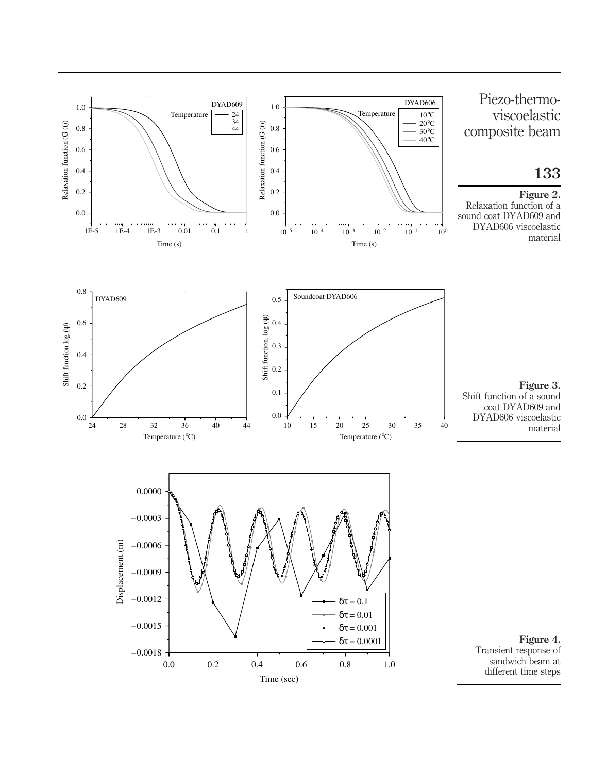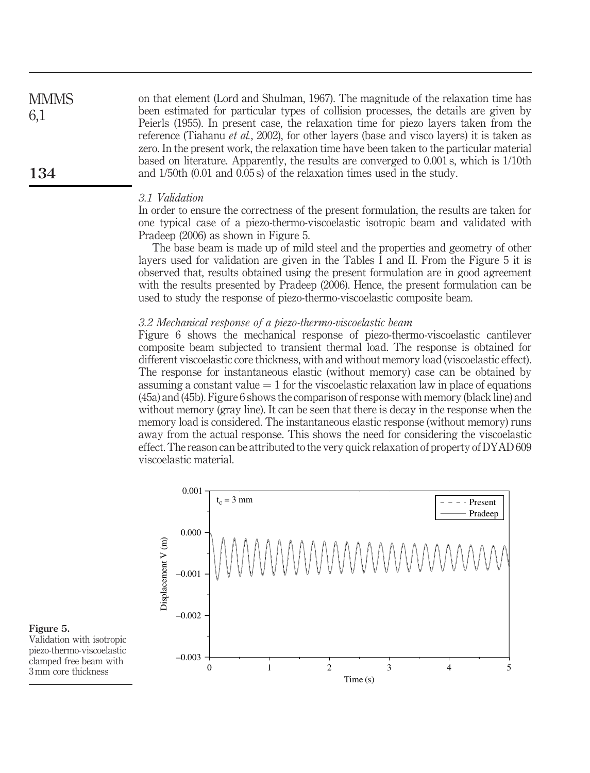| <b>MMMS</b> | on that element (Lord and Shulman, 1967). The magnitude of the relaxation time has        |
|-------------|-------------------------------------------------------------------------------------------|
| 6,1         | been estimated for particular types of collision processes, the details are given by      |
|             | Peierls (1955). In present case, the relaxation time for piezo layers taken from the      |
|             | reference (Tiahanu et al., 2002), for other layers (base and visco layers) it is taken as |
|             | zero. In the present work, the relaxation time have been taken to the particular material |
|             | based on literature. Apparently, the results are converged to 0.001 s, which is 1/10th    |
| 134         | and $1/50$ th (0.01 and 0.05 s) of the relaxation times used in the study.                |
|             |                                                                                           |

### 3.1 Validation

In order to ensure the correctness of the present formulation, the results are taken for one typical case of a piezo-thermo-viscoelastic isotropic beam and validated with Pradeep (2006) as shown in Figure 5.

The base beam is made up of mild steel and the properties and geometry of other layers used for validation are given in the Tables I and II. From the Figure 5 it is observed that, results obtained using the present formulation are in good agreement with the results presented by Pradeep (2006). Hence, the present formulation can be used to study the response of piezo-thermo-viscoelastic composite beam.

#### 3.2 Mechanical response of a piezo-thermo-viscoelastic beam

Figure 6 shows the mechanical response of piezo-thermo-viscoelastic cantilever composite beam subjected to transient thermal load. The response is obtained for different viscoelastic core thickness, with and without memory load (viscoelastic effect). The response for instantaneous elastic (without memory) case can be obtained by assuming a constant value  $= 1$  for the viscoelastic relaxation law in place of equations (45a) and (45b). Figure 6 shows the comparison of response with memory (black line) and without memory (gray line). It can be seen that there is decay in the response when the memory load is considered. The instantaneous elastic response (without memory) runs away from the actual response. This shows the need for considering the viscoelastic effect. The reason can be attributed to the very quick relaxation of property of DYAD 609 viscoelastic material.



Figure 5. Validation with isotropic piezo-thermo-viscoelastic clamped free beam with 3 mm core thickness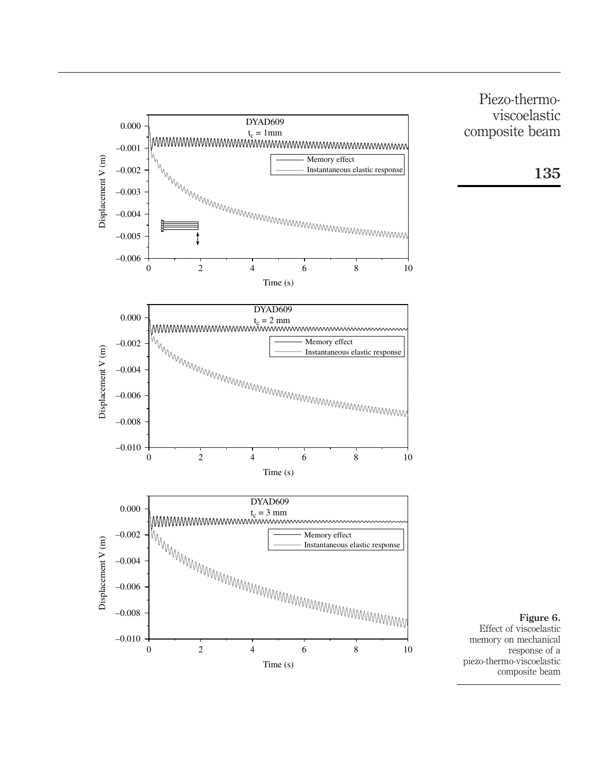

Piezo-thermoviscoelastic composite beam



Figure 6. Effect of viscoelastic memory on mechanical response of a piezo-thermo-viscoelastic composite beam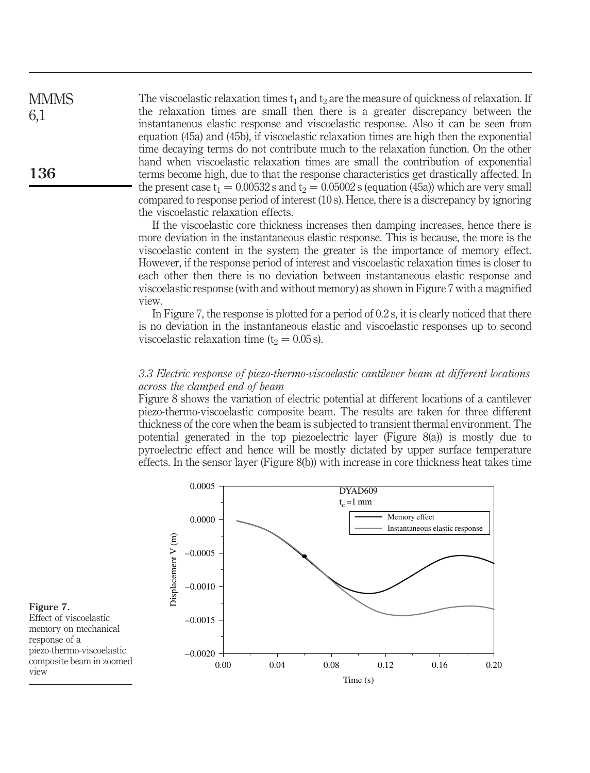The viscoelastic relaxation times  $t_1$  and  $t_2$  are the measure of quickness of relaxation. If the relaxation times are small then there is a greater discrepancy between the instantaneous elastic response and viscoelastic response. Also it can be seen from equation (45a) and (45b), if viscoelastic relaxation times are high then the exponential time decaying terms do not contribute much to the relaxation function. On the other hand when viscoelastic relaxation times are small the contribution of exponential terms become high, due to that the response characteristics get drastically affected. In the present case  $t_1 = 0.00532$  s and  $t_2 = 0.05002$  s (equation (45a)) which are very small compared to response period of interest (10 s). Hence, there is a discrepancy by ignoring the viscoelastic relaxation effects.

If the viscoelastic core thickness increases then damping increases, hence there is more deviation in the instantaneous elastic response. This is because, the more is the viscoelastic content in the system the greater is the importance of memory effect. However, if the response period of interest and viscoelastic relaxation times is closer to each other then there is no deviation between instantaneous elastic response and viscoelastic response (with and without memory) as shown in Figure 7 with a magnified view.

In Figure 7, the response is plotted for a period of 0.2 s, it is clearly noticed that there is no deviation in the instantaneous elastic and viscoelastic responses up to second viscoelastic relaxation time ( $t_2 = 0.05$  s).

# 3.3 Electric response of piezo-thermo-viscoelastic cantilever beam at different locations across the clamped end of beam

Figure 8 shows the variation of electric potential at different locations of a cantilever piezo-thermo-viscoelastic composite beam. The results are taken for three different thickness of the core when the beam is subjected to transient thermal environment. The potential generated in the top piezoelectric layer (Figure 8(a)) is mostly due to pyroelectric effect and hence will be mostly dictated by upper surface temperature effects. In the sensor layer (Figure 8(b)) with increase in core thickness heat takes time



Figure 7. Effect of viscoelastic memory on mechanical response of a piezo-thermo-viscoelastic composite beam in zoomed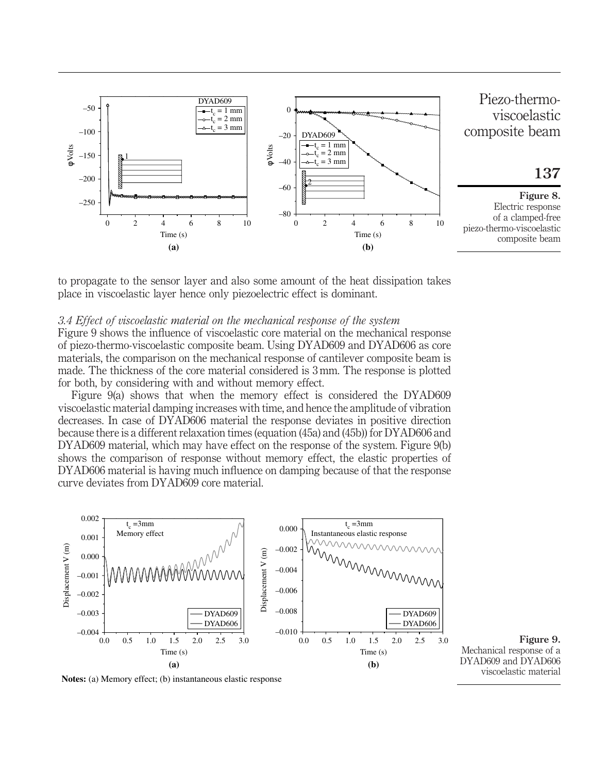

to propagate to the sensor layer and also some amount of the heat dissipation takes place in viscoelastic layer hence only piezoelectric effect is dominant.

#### 3.4 Effect of viscoelastic material on the mechanical response of the system

Figure 9 shows the influence of viscoelastic core material on the mechanical response of piezo-thermo-viscoelastic composite beam. Using DYAD609 and DYAD606 as core materials, the comparison on the mechanical response of cantilever composite beam is made. The thickness of the core material considered is 3 mm. The response is plotted for both, by considering with and without memory effect.

Figure 9(a) shows that when the memory effect is considered the DYAD609 viscoelastic material damping increases with time, and hence the amplitude of vibration decreases. In case of DYAD606 material the response deviates in positive direction because there is a different relaxation times (equation (45a) and (45b)) for DYAD606 and DYAD609 material, which may have effect on the response of the system. Figure 9(b) shows the comparison of response without memory effect, the elastic properties of DYAD606 material is having much influence on damping because of that the response curve deviates from DYAD609 core material.





**Notes:** (a) Memory effect; (b) instantaneous elastic response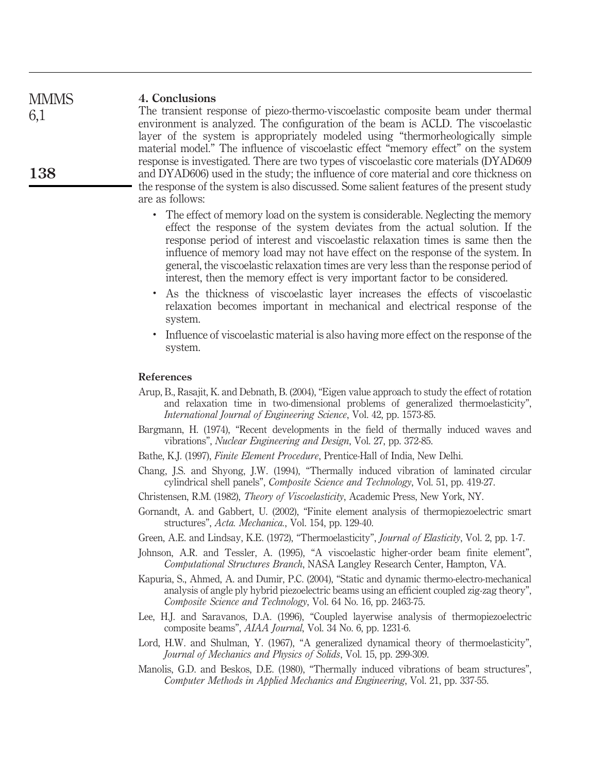# 4. Conclusions

The transient response of piezo-thermo-viscoelastic composite beam under thermal environment is analyzed. The configuration of the beam is ACLD. The viscoelastic layer of the system is appropriately modeled using "thermorheologically simple material model." The influence of viscoelastic effect "memory effect" on the system response is investigated. There are two types of viscoelastic core materials (DYAD609 and DYAD606) used in the study; the influence of core material and core thickness on the response of the system is also discussed. Some salient features of the present study are as follows:

- . The effect of memory load on the system is considerable. Neglecting the memory effect the response of the system deviates from the actual solution. If the response period of interest and viscoelastic relaxation times is same then the influence of memory load may not have effect on the response of the system. In general, the viscoelastic relaxation times are very less than the response period of interest, then the memory effect is very important factor to be considered.
- . As the thickness of viscoelastic layer increases the effects of viscoelastic relaxation becomes important in mechanical and electrical response of the system.
- . Influence of viscoelastic material is also having more effect on the response of the system.

# References

- Arup, B., Rasajit, K. and Debnath, B. (2004), "Eigen value approach to study the effect of rotation and relaxation time in two-dimensional problems of generalized thermoelasticity", International Journal of Engineering Science, Vol. 42, pp. 1573-85.
- Bargmann, H. (1974), "Recent developments in the field of thermally induced waves and vibrations", Nuclear Engineering and Design, Vol. 27, pp. 372-85.
- Bathe, K.J. (1997), Finite Element Procedure, Prentice-Hall of India, New Delhi.
- Chang, J.S. and Shyong, J.W. (1994), "Thermally induced vibration of laminated circular cylindrical shell panels", Composite Science and Technology, Vol. 51, pp. 419-27.
- Christensen, R.M. (1982), Theory of Viscoelasticity, Academic Press, New York, NY.
- Gornandt, A. and Gabbert, U. (2002), "Finite element analysis of thermopiezoelectric smart structures", Acta. Mechanica., Vol. 154, pp. 129-40.
- Green, A.E. and Lindsay, K.E. (1972), "Thermoelasticity", Journal of Elasticity, Vol. 2, pp. 1-7.
- Johnson, A.R. and Tessler, A. (1995), "A viscoelastic higher-order beam finite element", Computational Structures Branch, NASA Langley Research Center, Hampton, VA.
- Kapuria, S., Ahmed, A. and Dumir, P.C. (2004), "Static and dynamic thermo-electro-mechanical analysis of angle ply hybrid piezoelectric beams using an efficient coupled zig-zag theory", Composite Science and Technology, Vol. 64 No. 16, pp. 2463-75.
- Lee, H.J. and Saravanos, D.A. (1996), "Coupled layerwise analysis of thermopiezoelectric composite beams", AIAA Journal, Vol. 34 No. 6, pp. 1231-6.
- Lord, H.W. and Shulman, Y. (1967), "A generalized dynamical theory of thermoelasticity", Journal of Mechanics and Physics of Solids, Vol. 15, pp. 299-309.
- Manolis, G.D. and Beskos, D.E. (1980), "Thermally induced vibrations of beam structures", Computer Methods in Applied Mechanics and Engineering, Vol. 21, pp. 337-55.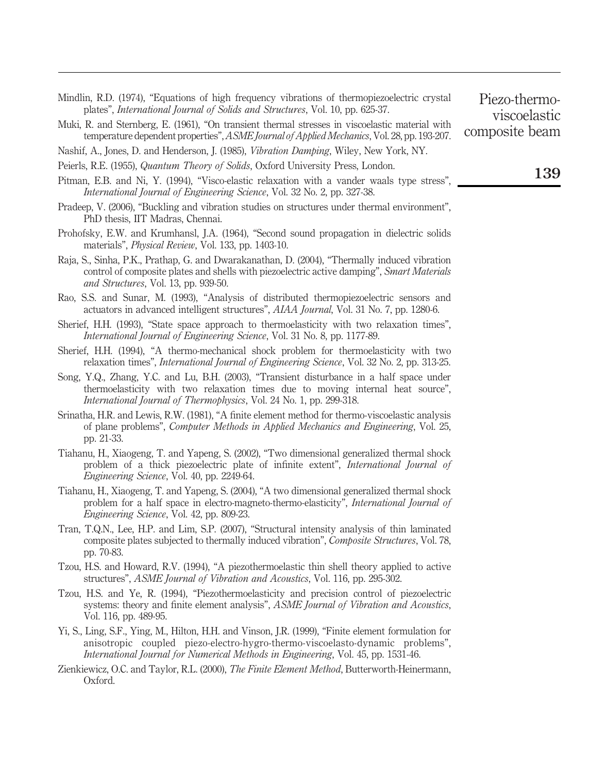|  |                                                                                       |  |  | Mindlin, R.D. (1974), "Equations of high frequency vibrations of thermopiezoelectric crystal |  |
|--|---------------------------------------------------------------------------------------|--|--|----------------------------------------------------------------------------------------------|--|
|  | plates", <i>International Journal of Solids and Structures</i> , Vol. 10, pp. 625-37. |  |  |                                                                                              |  |

- Muki, R. and Sternberg, E. (1961), "On transient thermal stresses in viscoelastic material with temperature dependent properties", ASME Journal of Applied Mechanics, Vol. 28, pp. 193-207.
- Nashif, A., Jones, D. and Henderson, J. (1985), Vibration Damping, Wiley, New York, NY.
- Peierls, R.E. (1955), Quantum Theory of Solids, Oxford University Press, London.
- Pitman, E.B. and Ni, Y. (1994), "Visco-elastic relaxation with a vander waals type stress", International Journal of Engineering Science, Vol. 32 No. 2, pp. 327-38.
- Pradeep, V. (2006), "Buckling and vibration studies on structures under thermal environment", PhD thesis, IIT Madras, Chennai.
- Prohofsky, E.W. and Krumhansl, J.A. (1964), "Second sound propagation in dielectric solids materials", Physical Review, Vol. 133, pp. 1403-10.
- Raja, S., Sinha, P.K., Prathap, G. and Dwarakanathan, D. (2004), "Thermally induced vibration control of composite plates and shells with piezoelectric active damping", Smart Materials and Structures, Vol. 13, pp. 939-50.
- Rao, S.S. and Sunar, M. (1993), "Analysis of distributed thermopiezoelectric sensors and actuators in advanced intelligent structures", AIAA Journal, Vol. 31 No. 7, pp. 1280-6.
- Sherief, H.H. (1993), "State space approach to thermoelasticity with two relaxation times", International Journal of Engineering Science, Vol. 31 No. 8, pp. 1177-89.
- Sherief, H.H. (1994), "A thermo-mechanical shock problem for thermoelasticity with two relaxation times", International Journal of Engineering Science, Vol. 32 No. 2, pp. 313-25.
- Song, Y.Q., Zhang, Y.C. and Lu, B.H. (2003), "Transient disturbance in a half space under thermoelasticity with two relaxation times due to moving internal heat source", International Journal of Thermophysics, Vol. 24 No. 1, pp. 299-318.
- Srinatha, H.R. and Lewis, R.W. (1981), "A finite element method for thermo-viscoelastic analysis of plane problems", Computer Methods in Applied Mechanics and Engineering, Vol. 25, pp. 21-33.
- Tiahanu, H., Xiaogeng, T. and Yapeng, S. (2002), "Two dimensional generalized thermal shock problem of a thick piezoelectric plate of infinite extent", International Journal of Engineering Science, Vol. 40, pp. 2249-64.
- Tiahanu, H., Xiaogeng, T. and Yapeng, S. (2004), "A two dimensional generalized thermal shock problem for a half space in electro-magneto-thermo-elasticity", International Journal of Engineering Science, Vol. 42, pp. 809-23.
- Tran, T.Q.N., Lee, H.P. and Lim, S.P. (2007), "Structural intensity analysis of thin laminated composite plates subjected to thermally induced vibration", Composite Structures, Vol. 78, pp. 70-83.
- Tzou, H.S. and Howard, R.V. (1994), "A piezothermoelastic thin shell theory applied to active structures", ASME Journal of Vibration and Acoustics, Vol. 116, pp. 295-302.
- Tzou, H.S. and Ye, R. (1994), "Piezothermoelasticity and precision control of piezoelectric systems: theory and finite element analysis", ASME Journal of Vibration and Acoustics, Vol. 116, pp. 489-95.
- Yi, S., Ling, S.F., Ying, M., Hilton, H.H. and Vinson, J.R. (1999), "Finite element formulation for anisotropic coupled piezo-electro-hygro-thermo-viscoelasto-dynamic problems", International Journal for Numerical Methods in Engineering, Vol. 45, pp. 1531-46.
- Zienkiewicz, O.C. and Taylor, R.L. (2000), The Finite Element Method, Butterworth-Heinermann, Oxford.